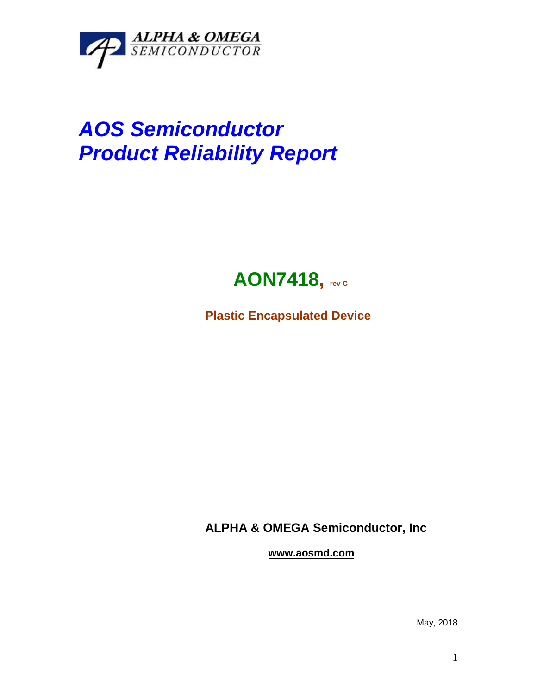

## *AOS Semiconductor Product Reliability Report*



**Plastic Encapsulated Device**

**ALPHA & OMEGA Semiconductor, Inc**

**www.aosmd.com**

May, 2018